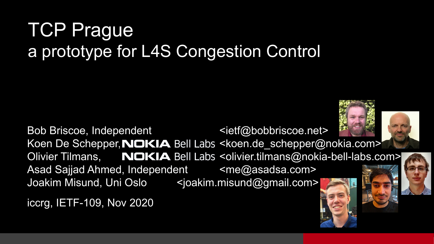### TCP Prague a prototype for L4S Congestion Control

Bob Briscoe, Independent example the state of  $\leq$  ietf@bobbriscoe.net> Koen De Schepper, NOKIA Bell Labs <koen.de schepper@nokia.com> Olivier Tilmans, NOKIA Bell Labs <olivier.tilmans@nokia-bell-labs.com> Asad Sajjad Ahmed, Independent <me@asadsa.com> Joakim Misund, Uni Oslo <joakim.misund@gmail.com>

iccrg, IETF-109, Nov 2020





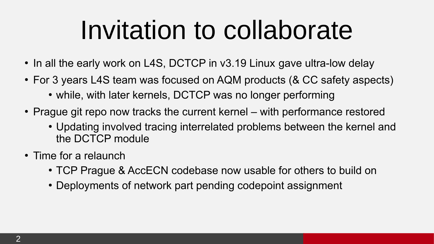## Invitation to collaborate

- In all the early work on L4S, DCTCP in v3.19 Linux gave ultra-low delay
- For 3 years L4S team was focused on AQM products (& CC safety aspects)
	- while, with later kernels, DCTCP was no longer performing
- Prague git repo now tracks the current kernel with performance restored
	- Updating involved tracing interrelated problems between the kernel and the DCTCP module
- $\cdot$  Time for a relaunch
	- TCP Prague & AccECN codebase now usable for others to build on
	- Deployments of network part pending codepoint assignment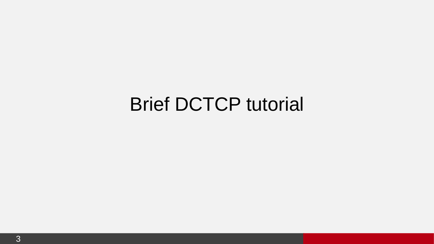### Brief DCTCP tutorial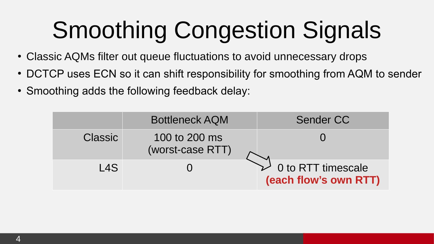## Smoothing Congestion Signals

- Classic AQMs filter out queue fluctuations to avoid unnecessary drops
- DCTCP uses ECN so it can shift responsibility for smoothing from AQM to sender
- Smoothing adds the following feedback delay:

|                  | <b>Bottleneck AQM</b>             | Sender CC                                   |
|------------------|-----------------------------------|---------------------------------------------|
| <b>Classic</b>   | 100 to 200 ms<br>(worst-case RTT) |                                             |
| L <sub>4</sub> S |                                   | 0 to RTT timescale<br>(each flow's own RTT) |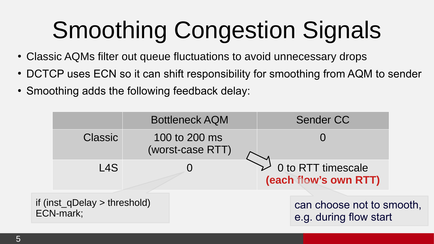## Smoothing Congestion Signals

- Classic AQMs filter out queue fluctuations to avoid unnecessary drops
- DCTCP uses ECN so it can shift responsibility for smoothing from AQM to sender
- Smoothing adds the following feedback delay:

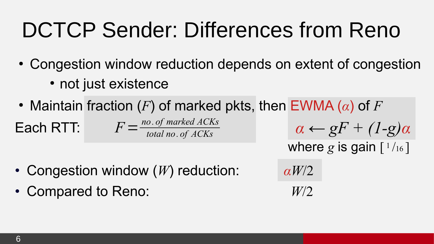### DCTCP Sender: Differences from Reno

- Congestion window reduction depends on extent of congestion
	- not just existence
- Maintain fraction  $(F)$  of marked pkts, then EWMA  $(\alpha)$  of  $F$

Each RTT: 
$$
F = \frac{no \cdot of \text{ marked } ACKs}{total \text{ no. of } ACKs}
$$

 $\alpha \leftarrow gF + (1-g)\alpha$ where  $g$  is gain  $[1/\frac{1}{16}]$ 

- Congestion window (*W*) reduction: *αW*/2
- Compared to Reno: *W*/2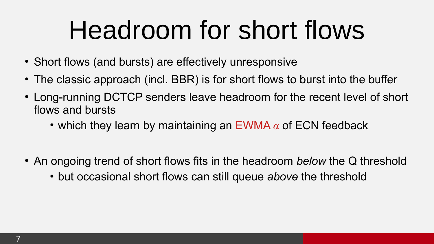## Headroom for short flows

- Short flows (and bursts) are effectively unresponsive
- The classic approach (incl. BBR) is for short flows to burst into the buffer
- Long-running DCTCP senders leave headroom for the recent level of short flows and bursts
	- which they learn by maintaining an  $EWMA \alpha$  of ECN feedback
- An ongoing trend of short flows fits in the headroom *below* the Q threshold
	- but occasional short flows can still queue *above* the threshold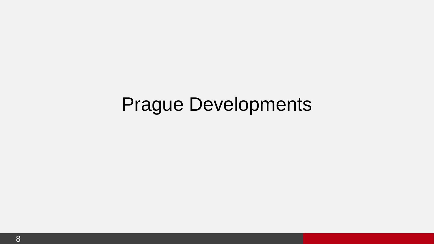### Prague Developments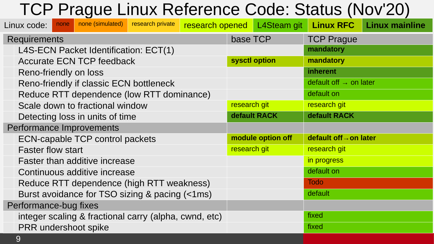### TCP Prague Linux Reference Code: Status (Nov'20)

| Linux code:                                           | none | none (simulated) | research private |                   |                                    | research opened   L4Steam git | <b>Linux RFC</b> | <b>Linux mainline</b> |
|-------------------------------------------------------|------|------------------|------------------|-------------------|------------------------------------|-------------------------------|------------------|-----------------------|
| <b>Requirements</b>                                   |      |                  | base TCP         |                   | <b>TCP Prague</b>                  |                               |                  |                       |
| L4S-ECN Packet Identification: ECT(1)                 |      |                  |                  |                   | mandatory                          |                               |                  |                       |
| <b>Accurate ECN TCP feedback</b>                      |      |                  |                  | sysctl option     | mandatory                          |                               |                  |                       |
| Reno-friendly on loss                                 |      |                  |                  |                   | inherent                           |                               |                  |                       |
| Reno-friendly if classic ECN bottleneck               |      |                  |                  |                   | default off $\rightarrow$ on later |                               |                  |                       |
| Reduce RTT dependence (low RTT dominance)             |      |                  |                  |                   | default on                         |                               |                  |                       |
| Scale down to fractional window                       |      |                  | research git     |                   | research git                       |                               |                  |                       |
| Detecting loss in units of time                       |      |                  |                  | default RACK      | default RACK                       |                               |                  |                       |
| <b>Performance Improvements</b>                       |      |                  |                  |                   |                                    |                               |                  |                       |
| <b>ECN-capable TCP control packets</b>                |      |                  |                  | module option off | default off $\rightarrow$ on later |                               |                  |                       |
| <b>Faster flow start</b>                              |      |                  | research git     |                   | research git                       |                               |                  |                       |
| <b>Faster than additive increase</b>                  |      |                  |                  |                   | in progress                        |                               |                  |                       |
| Continuous additive increase                          |      |                  |                  |                   | default on                         |                               |                  |                       |
| Reduce RTT dependence (high RTT weakness)             |      |                  |                  |                   | <b>Todo</b>                        |                               |                  |                       |
| Burst avoidance for TSO sizing & pacing (<1ms)        |      |                  |                  |                   | default                            |                               |                  |                       |
| Performance-bug fixes                                 |      |                  |                  |                   |                                    |                               |                  |                       |
| integer scaling & fractional carry (alpha, cwnd, etc) |      |                  |                  |                   | fixed                              |                               |                  |                       |
| <b>PRR</b> undershoot spike                           |      |                  |                  |                   | fixed                              |                               |                  |                       |
| 9                                                     |      |                  |                  |                   |                                    |                               |                  |                       |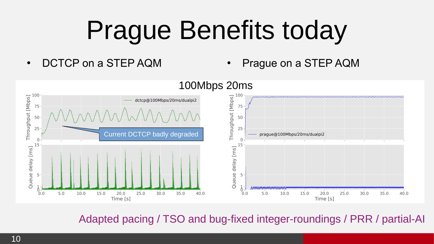# Prague Benefits today

• DCTCP on a STEP AQM • Prague on a STEP AQM



Adapted pacing / TSO and bug-fixed integer-roundings / PRR / partial-AI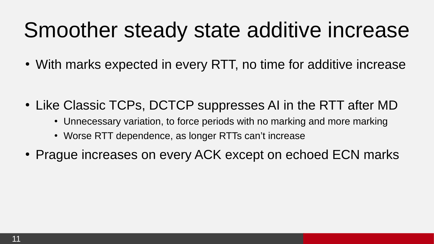### Smoother steady state additive increase

• With marks expected in every RTT, no time for additive increase

- Like Classic TCPs, DCTCP suppresses AI in the RTT after MD
	- Unnecessary variation, to force periods with no marking and more marking
	- Worse RTT dependence, as longer RTTs can't increase
- Prague increases on every ACK except on echoed ECN marks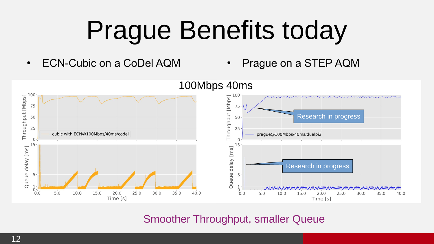# Prague Benefits today

- ECN-Cubic on a CoDel AQM Prague on a STEP AQM
	-



#### Smoother Throughput, smaller Queue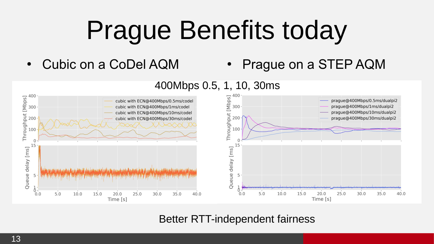# Prague Benefits today

### • Cubic on a CoDel AQM • Prague on a STEP AQM

#### 400Mbps 0.5, 1, 10, 30ms



#### Better RTT-independent fairness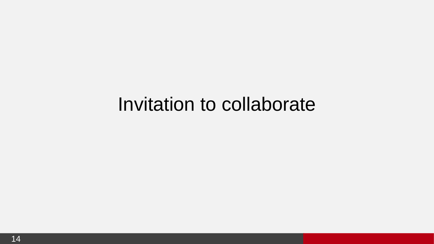### Invitation to collaborate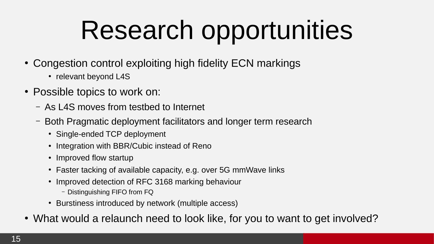# Research opportunities

- Congestion control exploiting high fidelity ECN markings
	- relevant beyond L4S
- Possible topics to work on:
	- As L4S moves from testbed to Internet
	- Both Pragmatic deployment facilitators and longer term research
		- Single-ended TCP deployment
		- Integration with BBR/Cubic instead of Reno
		- Improved flow startup
		- Faster tacking of available capacity, e.g. over 5G mmWave links
		- Improved detection of RFC 3168 marking behaviour
			- Distinguishing FIFO from FQ
		- Burstiness introduced by network (multiple access)
- What would a relaunch need to look like, for you to want to get involved?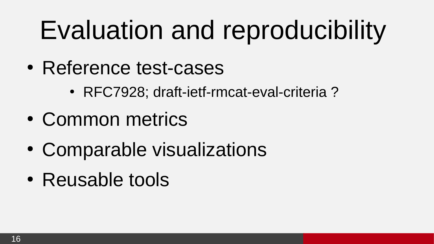# Evaluation and reproducibility

- Reference test-cases
	- RFC7928; draft-ietf-rmcat-eval-criteria?
- Common metrics
- Comparable visualizations
- Reusable tools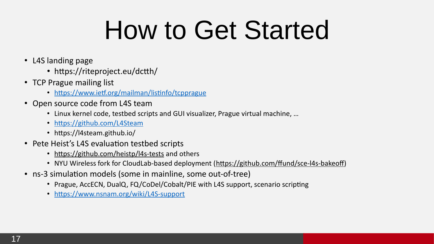## How to Get Started

- L4S landing page
	- <https://riteproject.eu/dctth/>
- TCP Prague mailing list
	- <https://www.ietf.org/mailman/listinfo/tcpprague>
- Open source code from L4S team
	- Linux kernel code, testbed scripts and GUI visualizer, Prague virtual machine, ...
	- <https://github.com/L4Steam>
	- <https://l4steam.github.io/>
- Pete Heist's L4S evaluation testbed scripts
	- <https://github.com/heistp/l4s-tests>and others
	- NYU Wireless fork for CloudLab-based deployment ([https://github.com/ffund/sce-l4s-bakeoff\)](https://github.com/ffund/sce-l4s-bakeoff)
- ns-3 simulation models (some in mainline, some out-of-tree)
	- Prague, AccECN, DualQ, FQ/CoDel/Cobalt/PIE with L4S support, scenario scripting
	- <https://www.nsnam.org/wiki/L4S-support>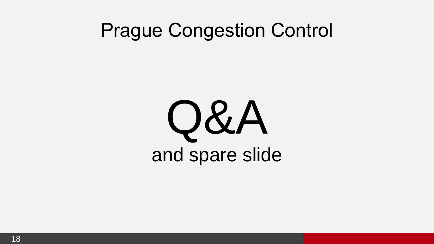### Prague Congestion Control

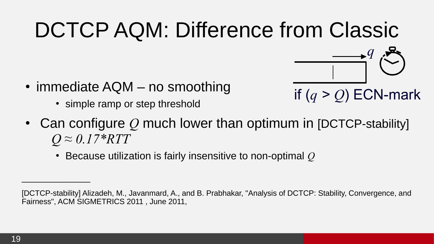### DCTCP AQM: Difference from Classic



- $\cdot$  immediate AQM no smoothing
	- simple ramp or step threshold

if  $(q > Q)$  ECN-mark

- Can configure  $Q$  much lower than optimum in [DCTCP-stability] *Q ≈ 0.17\*RTT*
	- Because utilization is fairly insensitive to non-optimal *Q*

*\_\_\_\_\_\_\_\_\_\_*

<sup>[</sup>DCTCP-stability] Alizadeh, M., Javanmard, A., and B. Prabhakar, "Analysis of DCTCP: Stability, Convergence, and Fairness", ACM SIGMETRICS 2011 , June 2011,